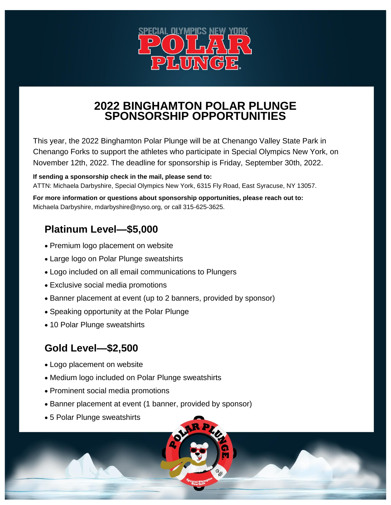

#### **2022 BINGHAMTON POLAR PLUNGE SPONSORSHIP OPPORTUNITIES**

This year, the 2022 Binghamton Polar Plunge will be at Chenango Valley State Park in Chenango Forks to support the athletes who participate in Special Olympics New York, on November 12th, 2022. The deadline for sponsorship is Friday, September 30th, 2022.

#### **If sending a sponsorship check in the mail, please send to:**

ATTN: Michaela Darbyshire, Special Olympics New York, 6315 Fly Road, East Syracuse, NY 13057.

**For more information or questions about sponsorship opportunities, please reach out to:**  Michaela Darbyshire, mdarbyshire@nyso.org, or call 315-625-3625.

# **Platinum Level—\$5,000**

- Premium logo placement on website
- Large logo on Polar Plunge sweatshirts
- Logo included on all email communications to Plungers
- Exclusive social media promotions
- Banner placement at event (up to 2 banners, provided by sponsor)
- Speaking opportunity at the Polar Plunge
- 10 Polar Plunge sweatshirts

## **Gold Level—\$2,500**

- Logo placement on website
- Medium logo included on Polar Plunge sweatshirts
- Prominent social media promotions
- Banner placement at event (1 banner, provided by sponsor)
- 5 Polar Plunge sweatshirts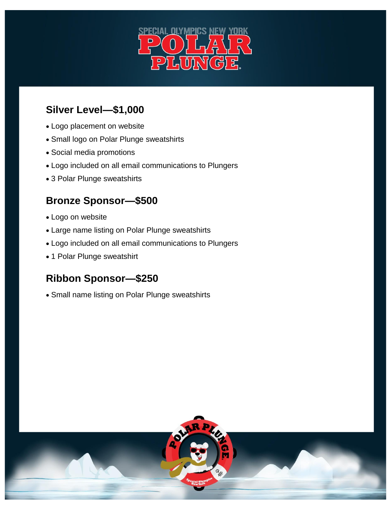

## **Silver Level—\$1,000**

- Logo placement on website
- Small logo on Polar Plunge sweatshirts
- Social media promotions
- Logo included on all email communications to Plungers
- 3 Polar Plunge sweatshirts

# **Bronze Sponsor—\$500**

- Logo on website
- Large name listing on Polar Plunge sweatshirts
- Logo included on all email communications to Plungers
- 1 Polar Plunge sweatshirt

# **Ribbon Sponsor—\$250**

Small name listing on Polar Plunge sweatshirts